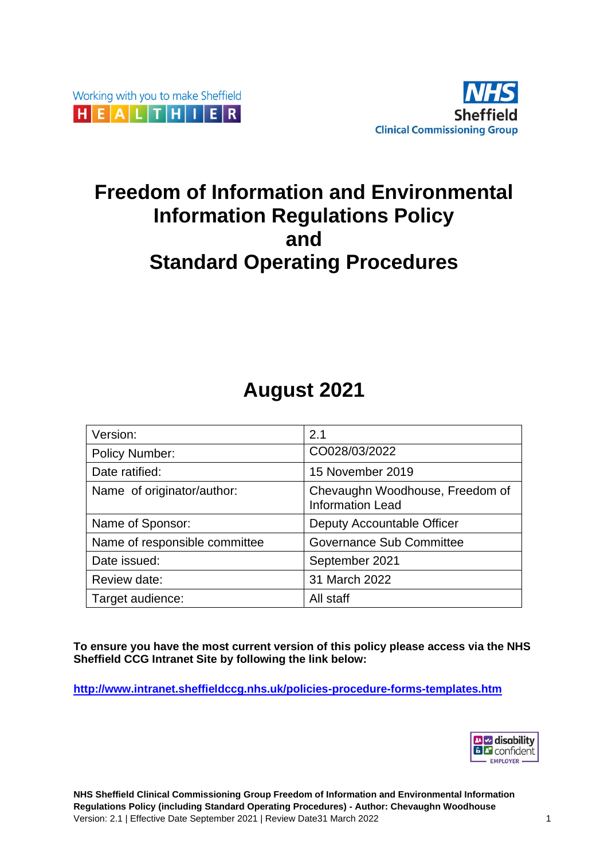



# **Freedom of Information and Environmental Information Regulations Policy and Standard Operating Procedures**

# **August 2021**

| Version:                      | 2.1                                                        |
|-------------------------------|------------------------------------------------------------|
| <b>Policy Number:</b>         | CO028/03/2022                                              |
| Date ratified:                | 15 November 2019                                           |
| Name of originator/author:    | Chevaughn Woodhouse, Freedom of<br><b>Information Lead</b> |
| Name of Sponsor:              | Deputy Accountable Officer                                 |
| Name of responsible committee | <b>Governance Sub Committee</b>                            |
| Date issued:                  | September 2021                                             |
| Review date:                  | 31 March 2022                                              |
| Target audience:              | All staff                                                  |

**To ensure you have the most current version of this policy please access via the NHS Sheffield CCG Intranet Site by following the link below:**

**<http://www.intranet.sheffieldccg.nhs.uk/policies-procedure-forms-templates.htm>**

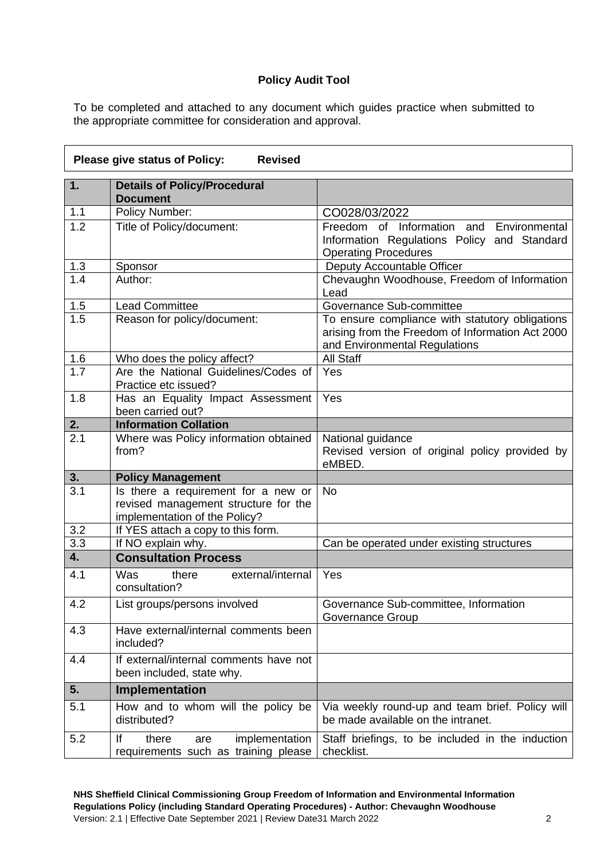#### **Policy Audit Tool**

To be completed and attached to any document which guides practice when submitted to the appropriate committee for consideration and approval.

|                  | Please give status of Policy:<br><b>Revised</b>                                                              |                                                                                                                                      |
|------------------|--------------------------------------------------------------------------------------------------------------|--------------------------------------------------------------------------------------------------------------------------------------|
| 1.               | <b>Details of Policy/Procedural</b><br><b>Document</b>                                                       |                                                                                                                                      |
| 1.1              | Policy Number:                                                                                               | CO028/03/2022                                                                                                                        |
| 1.2              | Title of Policy/document:                                                                                    | Freedom of Information and<br>Environmental<br>Information Regulations Policy and Standard<br><b>Operating Procedures</b>            |
| 1.3              | Sponsor                                                                                                      | Deputy Accountable Officer                                                                                                           |
| 1.4              | Author:                                                                                                      | Chevaughn Woodhouse, Freedom of Information<br>Lead                                                                                  |
| 1.5              | <b>Lead Committee</b>                                                                                        | Governance Sub-committee                                                                                                             |
| 1.5              | Reason for policy/document:                                                                                  | To ensure compliance with statutory obligations<br>arising from the Freedom of Information Act 2000<br>and Environmental Regulations |
| 1.6              | Who does the policy affect?                                                                                  | All Staff                                                                                                                            |
| $\overline{1.7}$ | Are the National Guidelines/Codes of<br>Practice etc issued?                                                 | Yes                                                                                                                                  |
| 1.8              | Has an Equality Impact Assessment<br>been carried out?                                                       | Yes                                                                                                                                  |
| 2.               | <b>Information Collation</b>                                                                                 |                                                                                                                                      |
| $\overline{2.1}$ | Where was Policy information obtained<br>from?                                                               | National guidance<br>Revised version of original policy provided by<br>eMBED.                                                        |
| 3.               | <b>Policy Management</b>                                                                                     |                                                                                                                                      |
| 3.1              | Is there a requirement for a new or<br>revised management structure for the<br>implementation of the Policy? | <b>No</b>                                                                                                                            |
| 3.2              | If YES attach a copy to this form.                                                                           |                                                                                                                                      |
| 3.3              | If NO explain why.                                                                                           | Can be operated under existing structures                                                                                            |
| 4.               | <b>Consultation Process</b>                                                                                  |                                                                                                                                      |
| 4.1              | external/internal<br>Was<br>there<br>consultation?                                                           | Yes                                                                                                                                  |
| 4.2              | List groups/persons involved                                                                                 | Governance Sub-committee, Information<br>Governance Group                                                                            |
| 4.3              | Have external/internal comments been<br>included?                                                            |                                                                                                                                      |
| 4.4              | If external/internal comments have not<br>been included, state why.                                          |                                                                                                                                      |
| 5.               | Implementation                                                                                               |                                                                                                                                      |
| 5.1              | How and to whom will the policy be<br>distributed?                                                           | Via weekly round-up and team brief. Policy will<br>be made available on the intranet.                                                |
| 5.2              | lf<br>there<br>implementation<br>are<br>requirements such as training please                                 | Staff briefings, to be included in the induction<br>checklist.                                                                       |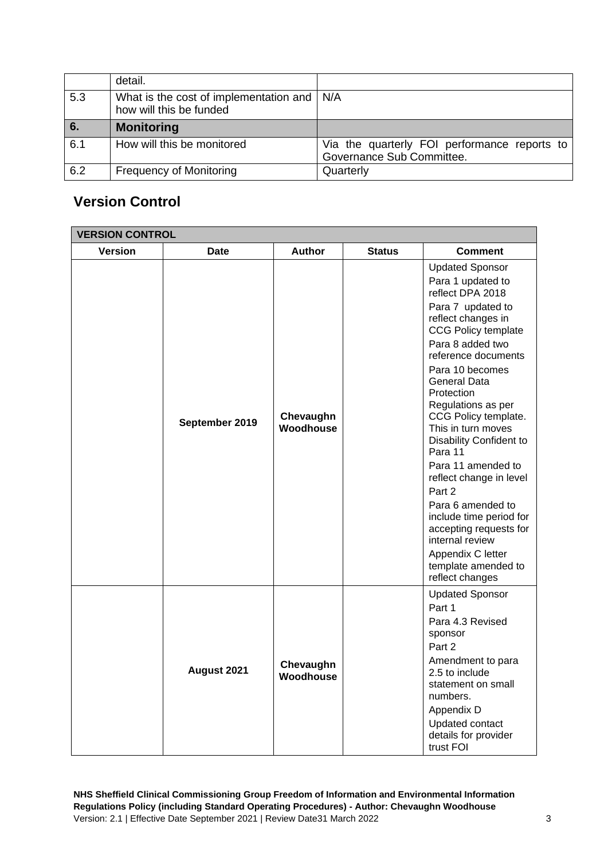|     | detail.                                                                 |                                                                           |
|-----|-------------------------------------------------------------------------|---------------------------------------------------------------------------|
| 5.3 | What is the cost of implementation and   N/A<br>how will this be funded |                                                                           |
| 6.  | <b>Monitoring</b>                                                       |                                                                           |
| 6.1 | How will this be monitored                                              | Via the quarterly FOI performance reports to<br>Governance Sub Committee. |
| 6.2 | <b>Frequency of Monitoring</b>                                          | Quarterly                                                                 |

## **Version Control**

| <b>VERSION CONTROL</b> |                |                        |               |                                                                                                                                                                                                                                                                                                                                                                                                                                                                                                                                                                       |  |  |  |
|------------------------|----------------|------------------------|---------------|-----------------------------------------------------------------------------------------------------------------------------------------------------------------------------------------------------------------------------------------------------------------------------------------------------------------------------------------------------------------------------------------------------------------------------------------------------------------------------------------------------------------------------------------------------------------------|--|--|--|
| <b>Version</b>         | <b>Date</b>    | Author                 | <b>Status</b> | <b>Comment</b>                                                                                                                                                                                                                                                                                                                                                                                                                                                                                                                                                        |  |  |  |
|                        | September 2019 | Chevaughn<br>Woodhouse |               | <b>Updated Sponsor</b><br>Para 1 updated to<br>reflect DPA 2018<br>Para 7 updated to<br>reflect changes in<br><b>CCG Policy template</b><br>Para 8 added two<br>reference documents<br>Para 10 becomes<br>General Data<br>Protection<br>Regulations as per<br>CCG Policy template.<br>This in turn moves<br>Disability Confident to<br>Para 11<br>Para 11 amended to<br>reflect change in level<br>Part 2<br>Para 6 amended to<br>include time period for<br>accepting requests for<br>internal review<br>Appendix C letter<br>template amended to<br>reflect changes |  |  |  |
|                        | August 2021    | Chevaughn<br>Woodhouse |               | <b>Updated Sponsor</b><br>Part 1<br>Para 4.3 Revised<br>sponsor<br>Part 2<br>Amendment to para<br>2.5 to include<br>statement on small<br>numbers.<br>Appendix D<br>Updated contact<br>details for provider<br>trust FOI                                                                                                                                                                                                                                                                                                                                              |  |  |  |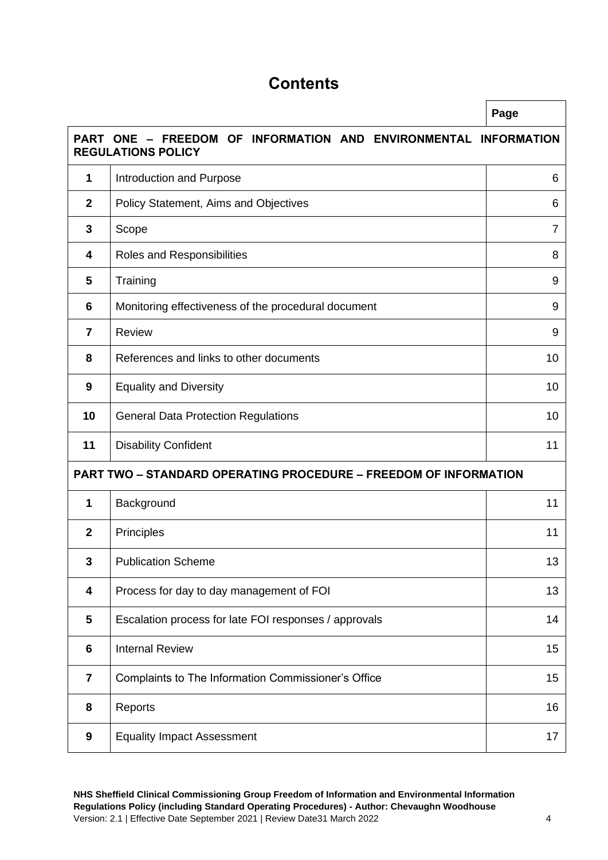# **Contents**

|                 |                                                                                                 | Page |  |  |
|-----------------|-------------------------------------------------------------------------------------------------|------|--|--|
|                 | PART ONE - FREEDOM OF<br>INFORMATION AND ENVIRONMENTAL INFORMATION<br><b>REGULATIONS POLICY</b> |      |  |  |
| 1               | Introduction and Purpose                                                                        | 6    |  |  |
| $\mathbf{2}$    | Policy Statement, Aims and Objectives                                                           | 6    |  |  |
| 3               | Scope                                                                                           | 7    |  |  |
| 4               | Roles and Responsibilities                                                                      | 8    |  |  |
| 5               | Training                                                                                        | 9    |  |  |
| $6\phantom{1}6$ | Monitoring effectiveness of the procedural document                                             | 9    |  |  |
| $\overline{7}$  | <b>Review</b>                                                                                   | 9    |  |  |
| 8               | References and links to other documents                                                         | 10   |  |  |
| 9               | <b>Equality and Diversity</b>                                                                   | 10   |  |  |
| 10              | <b>General Data Protection Regulations</b>                                                      |      |  |  |
| 11              | <b>Disability Confident</b>                                                                     |      |  |  |
|                 | <b>PART TWO - STANDARD OPERATING PROCEDURE - FREEDOM OF INFORMATION</b>                         |      |  |  |
| 1               | Background                                                                                      | 11   |  |  |
| $\overline{2}$  | Principles                                                                                      | 11   |  |  |
| 3               | <b>Publication Scheme</b>                                                                       | 13   |  |  |
| 4               | Process for day to day management of FOI                                                        | 13   |  |  |
| 5               | Escalation process for late FOI responses / approvals                                           | 14   |  |  |
| $6\phantom{1}6$ | <b>Internal Review</b>                                                                          | 15   |  |  |
| $\overline{7}$  | Complaints to The Information Commissioner's Office                                             | 15   |  |  |
| 8               | Reports                                                                                         | 16   |  |  |
| 9               | <b>Equality Impact Assessment</b>                                                               | 17   |  |  |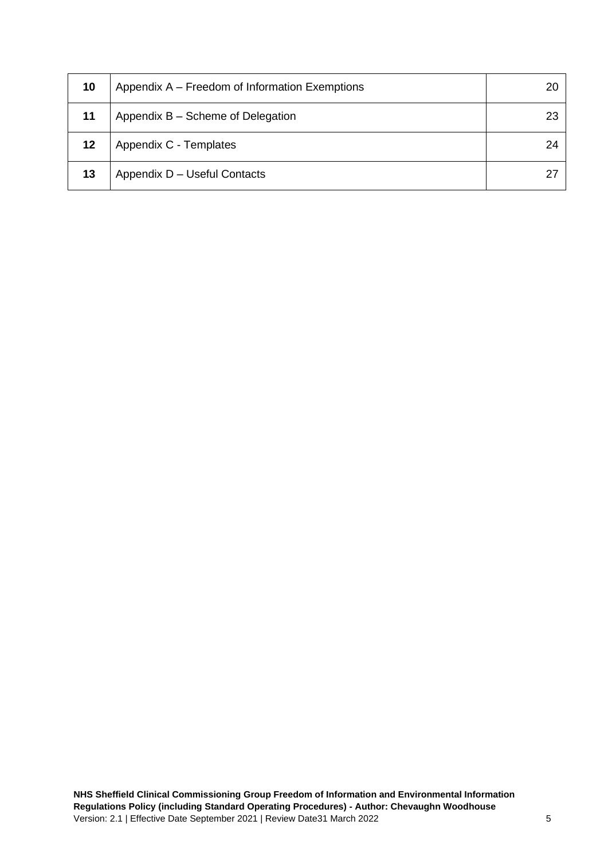| 10 | Appendix A – Freedom of Information Exemptions | 20 |
|----|------------------------------------------------|----|
| 11 | Appendix B - Scheme of Delegation              | 23 |
| 12 | Appendix C - Templates                         | 24 |
| 13 | Appendix D - Useful Contacts                   | 27 |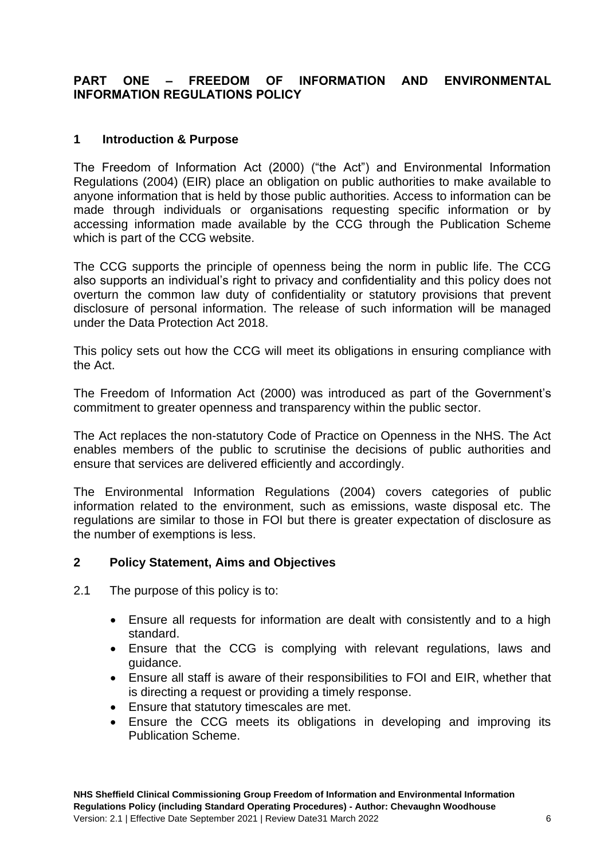## **PART ONE – FREEDOM OF INFORMATION AND ENVIRONMENTAL INFORMATION REGULATIONS POLICY**

## **1 Introduction & Purpose**

The Freedom of Information Act (2000) ("the Act") and Environmental Information Regulations (2004) (EIR) place an obligation on public authorities to make available to anyone information that is held by those public authorities. Access to information can be made through individuals or organisations requesting specific information or by accessing information made available by the CCG through the Publication Scheme which is part of the CCG website.

The CCG supports the principle of openness being the norm in public life. The CCG also supports an individual's right to privacy and confidentiality and this policy does not overturn the common law duty of confidentiality or statutory provisions that prevent disclosure of personal information. The release of such information will be managed under the Data Protection Act 2018.

This policy sets out how the CCG will meet its obligations in ensuring compliance with the Act.

The Freedom of Information Act (2000) was introduced as part of the Government's commitment to greater openness and transparency within the public sector.

The Act replaces the non-statutory Code of Practice on Openness in the NHS. The Act enables members of the public to scrutinise the decisions of public authorities and ensure that services are delivered efficiently and accordingly.

The Environmental Information Regulations (2004) covers categories of public information related to the environment, such as emissions, waste disposal etc. The regulations are similar to those in FOI but there is greater expectation of disclosure as the number of exemptions is less.

## **2 Policy Statement, Aims and Objectives**

- 2.1 The purpose of this policy is to:
	- Ensure all requests for information are dealt with consistently and to a high standard.
	- Ensure that the CCG is complying with relevant regulations, laws and guidance.
	- Ensure all staff is aware of their responsibilities to FOI and EIR, whether that is directing a request or providing a timely response.
	- Ensure that statutory timescales are met.
	- Ensure the CCG meets its obligations in developing and improving its Publication Scheme.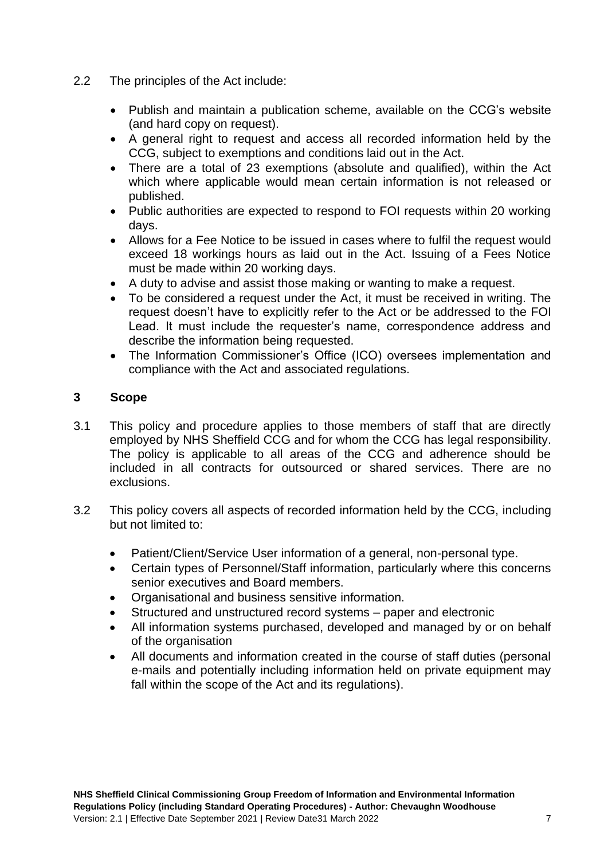- 2.2 The principles of the Act include:
	- Publish and maintain a publication scheme, available on the CCG's website (and hard copy on request).
	- A general right to request and access all recorded information held by the CCG, subject to exemptions and conditions laid out in the Act.
	- There are a total of 23 exemptions (absolute and qualified), within the Act which where applicable would mean certain information is not released or published.
	- Public authorities are expected to respond to FOI requests within 20 working days.
	- Allows for a Fee Notice to be issued in cases where to fulfil the request would exceed 18 workings hours as laid out in the Act. Issuing of a Fees Notice must be made within 20 working days.
	- A duty to advise and assist those making or wanting to make a request.
	- To be considered a request under the Act, it must be received in writing. The request doesn't have to explicitly refer to the Act or be addressed to the FOI Lead. It must include the requester's name, correspondence address and describe the information being requested.
	- The Information Commissioner's Office (ICO) oversees implementation and compliance with the Act and associated regulations.

## **3 Scope**

- 3.1 This policy and procedure applies to those members of staff that are directly employed by NHS Sheffield CCG and for whom the CCG has legal responsibility. The policy is applicable to all areas of the CCG and adherence should be included in all contracts for outsourced or shared services. There are no exclusions.
- 3.2 This policy covers all aspects of recorded information held by the CCG, including but not limited to:
	- Patient/Client/Service User information of a general, non-personal type.
	- Certain types of Personnel/Staff information, particularly where this concerns senior executives and Board members.
	- Organisational and business sensitive information.
	- Structured and unstructured record systems paper and electronic
	- All information systems purchased, developed and managed by or on behalf of the organisation
	- All documents and information created in the course of staff duties (personal e-mails and potentially including information held on private equipment may fall within the scope of the Act and its regulations).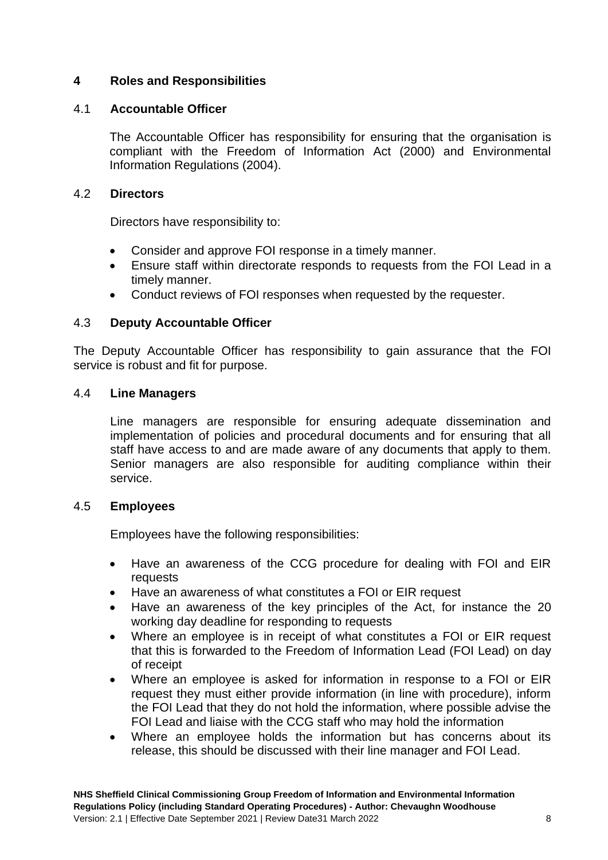## **4 Roles and Responsibilities**

#### 4.1 **Accountable Officer**

The Accountable Officer has responsibility for ensuring that the organisation is compliant with the Freedom of Information Act (2000) and Environmental Information Regulations (2004).

#### 4.2 **Directors**

Directors have responsibility to:

- Consider and approve FOI response in a timely manner.
- Ensure staff within directorate responds to requests from the FOI Lead in a timely manner.
- Conduct reviews of FOI responses when requested by the requester.

#### 4.3 **Deputy Accountable Officer**

The Deputy Accountable Officer has responsibility to gain assurance that the FOI service is robust and fit for purpose.

#### 4.4 **Line Managers**

Line managers are responsible for ensuring adequate dissemination and implementation of policies and procedural documents and for ensuring that all staff have access to and are made aware of any documents that apply to them. Senior managers are also responsible for auditing compliance within their service.

#### 4.5 **Employees**

Employees have the following responsibilities:

- Have an awareness of the CCG procedure for dealing with FOI and EIR requests
- Have an awareness of what constitutes a FOI or EIR request
- Have an awareness of the key principles of the Act, for instance the 20 working day deadline for responding to requests
- Where an employee is in receipt of what constitutes a FOI or EIR request that this is forwarded to the Freedom of Information Lead (FOI Lead) on day of receipt
- Where an employee is asked for information in response to a FOI or EIR request they must either provide information (in line with procedure), inform the FOI Lead that they do not hold the information, where possible advise the FOI Lead and liaise with the CCG staff who may hold the information
- Where an employee holds the information but has concerns about its release, this should be discussed with their line manager and FOI Lead.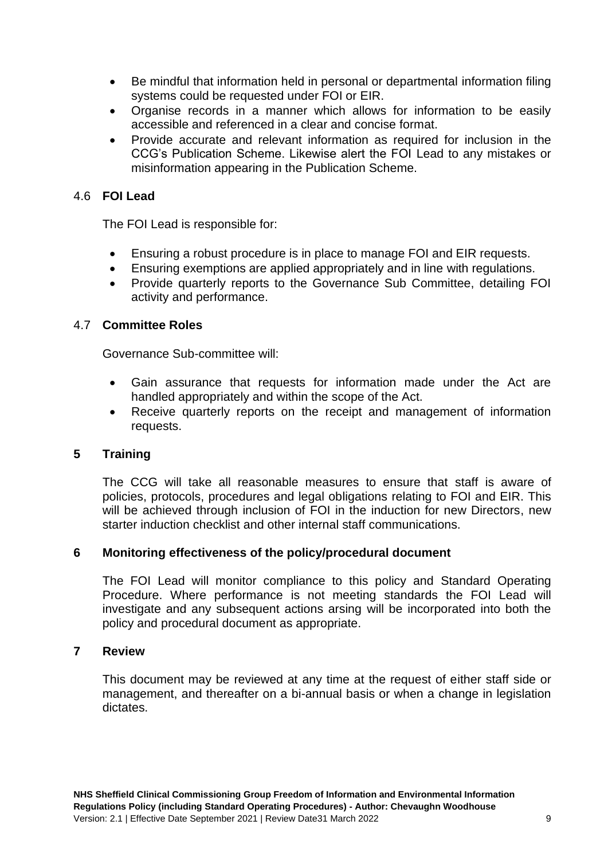- Be mindful that information held in personal or departmental information filing systems could be requested under FOI or EIR.
- Organise records in a manner which allows for information to be easily accessible and referenced in a clear and concise format.
- Provide accurate and relevant information as required for inclusion in the CCG's Publication Scheme. Likewise alert the FOI Lead to any mistakes or misinformation appearing in the Publication Scheme.

## 4.6 **FOI Lead**

The FOI Lead is responsible for:

- Ensuring a robust procedure is in place to manage FOI and EIR requests.
- Ensuring exemptions are applied appropriately and in line with regulations.
- Provide quarterly reports to the Governance Sub Committee, detailing FOI activity and performance.

## 4.7 **Committee Roles**

Governance Sub-committee will:

- Gain assurance that requests for information made under the Act are handled appropriately and within the scope of the Act.
- Receive quarterly reports on the receipt and management of information requests.

## **5 Training**

The CCG will take all reasonable measures to ensure that staff is aware of policies, protocols, procedures and legal obligations relating to FOI and EIR. This will be achieved through inclusion of FOI in the induction for new Directors, new starter induction checklist and other internal staff communications.

#### **6 Monitoring effectiveness of the policy/procedural document**

The FOI Lead will monitor compliance to this policy and Standard Operating Procedure. Where performance is not meeting standards the FOI Lead will investigate and any subsequent actions arsing will be incorporated into both the policy and procedural document as appropriate.

#### **7 Review**

This document may be reviewed at any time at the request of either staff side or management, and thereafter on a bi-annual basis or when a change in legislation dictates.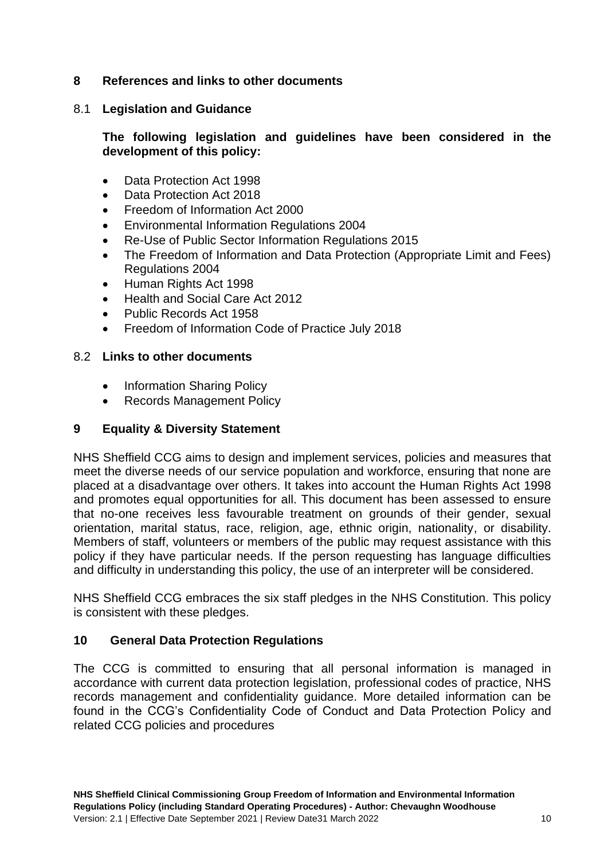## **8 References and links to other documents**

## 8.1 **Legislation and Guidance**

## **The following legislation and guidelines have been considered in the development of this policy:**

- Data Protection Act 1998
- Data Protection Act 2018
- Freedom of Information Act 2000
- Environmental Information Regulations 2004
- Re-Use of Public Sector Information Regulations 2015
- The Freedom of Information and Data Protection (Appropriate Limit and Fees) Regulations 2004
- Human Rights Act 1998
- Health and Social Care Act 2012
- Public Records Act 1958
- Freedom of Information Code of Practice July 2018

## 8.2 **Links to other documents**

- Information Sharing Policy
- Records Management Policy

## **9 Equality & Diversity Statement**

NHS Sheffield CCG aims to design and implement services, policies and measures that meet the diverse needs of our service population and workforce, ensuring that none are placed at a disadvantage over others. It takes into account the Human Rights Act 1998 and promotes equal opportunities for all. This document has been assessed to ensure that no-one receives less favourable treatment on grounds of their gender, sexual orientation, marital status, race, religion, age, ethnic origin, nationality, or disability. Members of staff, volunteers or members of the public may request assistance with this policy if they have particular needs. If the person requesting has language difficulties and difficulty in understanding this policy, the use of an interpreter will be considered.

NHS Sheffield CCG embraces the six staff pledges in the NHS Constitution. This policy is consistent with these pledges.

## **10 General Data Protection Regulations**

The CCG is committed to ensuring that all personal information is managed in accordance with current data protection legislation, professional codes of practice, NHS records management and confidentiality guidance. More detailed information can be found in the CCG's Confidentiality Code of Conduct and Data Protection Policy and related CCG policies and procedures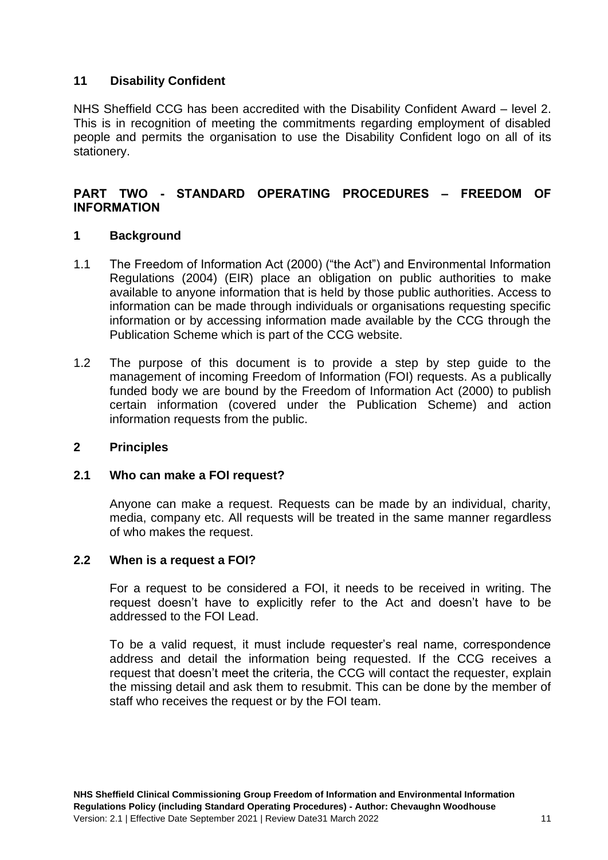## **11 Disability Confident**

NHS Sheffield CCG has been accredited with the Disability Confident Award – level 2. This is in recognition of meeting the commitments regarding employment of disabled people and permits the organisation to use the Disability Confident logo on all of its stationery.

## **PART TWO - STANDARD OPERATING PROCEDURES – FREEDOM OF INFORMATION**

## **1 Background**

- 1.1 The Freedom of Information Act (2000) ("the Act") and Environmental Information Regulations (2004) (EIR) place an obligation on public authorities to make available to anyone information that is held by those public authorities. Access to information can be made through individuals or organisations requesting specific information or by accessing information made available by the CCG through the Publication Scheme which is part of the CCG website.
- 1.2 The purpose of this document is to provide a step by step guide to the management of incoming Freedom of Information (FOI) requests. As a publically funded body we are bound by the Freedom of Information Act (2000) to publish certain information (covered under the Publication Scheme) and action information requests from the public.

## **2 Principles**

## **2.1 Who can make a FOI request?**

Anyone can make a request. Requests can be made by an individual, charity, media, company etc. All requests will be treated in the same manner regardless of who makes the request.

## **2.2 When is a request a FOI?**

For a request to be considered a FOI, it needs to be received in writing. The request doesn't have to explicitly refer to the Act and doesn't have to be addressed to the FOI Lead.

To be a valid request, it must include requester's real name, correspondence address and detail the information being requested. If the CCG receives a request that doesn't meet the criteria, the CCG will contact the requester, explain the missing detail and ask them to resubmit. This can be done by the member of staff who receives the request or by the FOI team.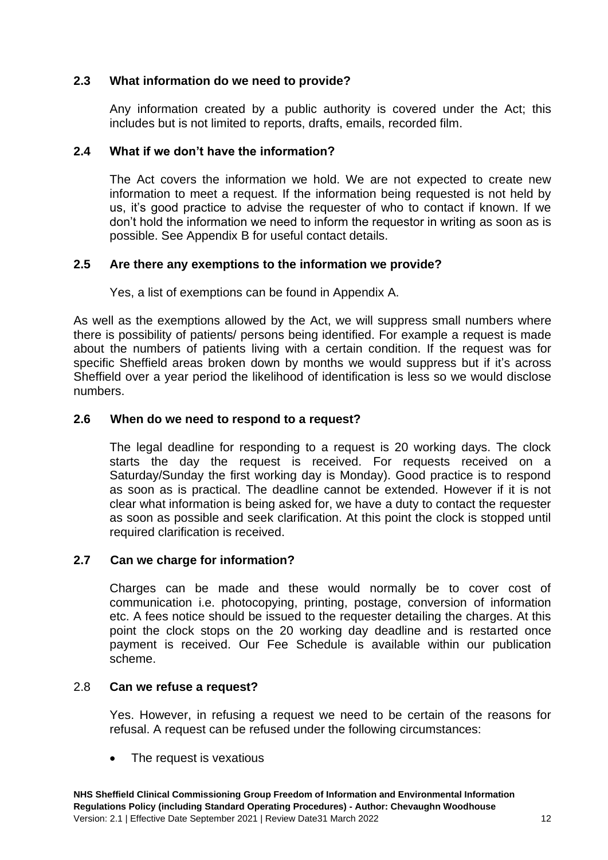## **2.3 What information do we need to provide?**

Any information created by a public authority is covered under the Act; this includes but is not limited to reports, drafts, emails, recorded film.

## **2.4 What if we don't have the information?**

The Act covers the information we hold. We are not expected to create new information to meet a request. If the information being requested is not held by us, it's good practice to advise the requester of who to contact if known. If we don't hold the information we need to inform the requestor in writing as soon as is possible. See Appendix B for useful contact details.

## **2.5 Are there any exemptions to the information we provide?**

Yes, a list of exemptions can be found in Appendix A.

As well as the exemptions allowed by the Act, we will suppress small numbers where there is possibility of patients/ persons being identified. For example a request is made about the numbers of patients living with a certain condition. If the request was for specific Sheffield areas broken down by months we would suppress but if it's across Sheffield over a year period the likelihood of identification is less so we would disclose numbers.

## **2.6 When do we need to respond to a request?**

The legal deadline for responding to a request is 20 working days. The clock starts the day the request is received. For requests received on a Saturday/Sunday the first working day is Monday). Good practice is to respond as soon as is practical. The deadline cannot be extended. However if it is not clear what information is being asked for, we have a duty to contact the requester as soon as possible and seek clarification. At this point the clock is stopped until required clarification is received.

## **2.7 Can we charge for information?**

Charges can be made and these would normally be to cover cost of communication i.e. photocopying, printing, postage, conversion of information etc. A fees notice should be issued to the requester detailing the charges. At this point the clock stops on the 20 working day deadline and is restarted once payment is received. Our Fee Schedule is available within our publication scheme.

## 2.8 **Can we refuse a request?**

Yes. However, in refusing a request we need to be certain of the reasons for refusal. A request can be refused under the following circumstances:

The request is vexatious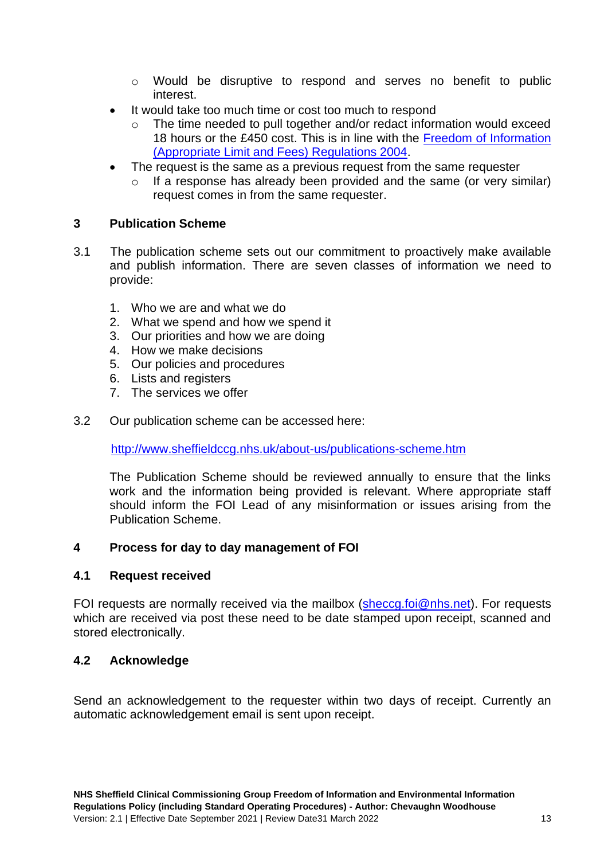- o Would be disruptive to respond and serves no benefit to public interest.
- It would take too much time or cost too much to respond
	- o The time needed to pull together and/or redact information would exceed 18 hours or the £450 cost. This is in line with the [Freedom of Information](http://www.legislation.gov.uk/uksi/2004/3244/contents/made)  [\(Appropriate Limit and Fees\) Regulations 2004.](http://www.legislation.gov.uk/uksi/2004/3244/contents/made)
- The request is the same as a previous request from the same requester
	- o If a response has already been provided and the same (or very similar) request comes in from the same requester.

## **3 Publication Scheme**

- 3.1 The publication scheme sets out our commitment to proactively make available and publish information. There are seven classes of information we need to provide:
	- 1. Who we are and what we do
	- 2. What we spend and how we spend it
	- 3. Our priorities and how we are doing
	- 4. How we make decisions
	- 5. Our policies and procedures
	- 6. Lists and registers
	- 7. The services we offer
- 3.2 Our publication scheme can be accessed here:

<http://www.sheffieldccg.nhs.uk/about-us/publications-scheme.htm>

The Publication Scheme should be reviewed annually to ensure that the links work and the information being provided is relevant. Where appropriate staff should inform the FOI Lead of any misinformation or issues arising from the Publication Scheme.

## **4 Process for day to day management of FOI**

## **4.1 Request received**

FOI requests are normally received via the mailbox [\(sheccg.foi@nhs.net\)](mailto:sheccg.foi@nhs.net). For requests which are received via post these need to be date stamped upon receipt, scanned and stored electronically.

## **4.2 Acknowledge**

Send an acknowledgement to the requester within two days of receipt. Currently an automatic acknowledgement email is sent upon receipt.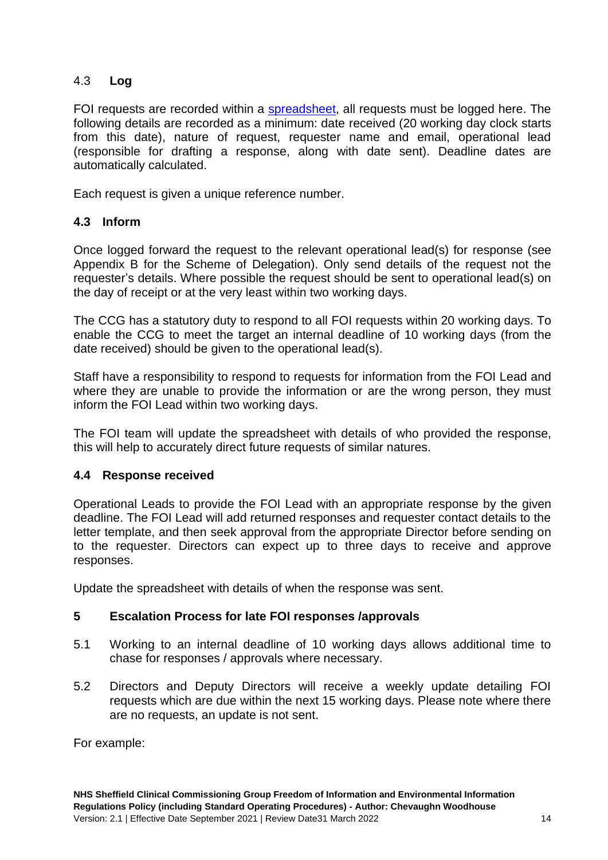## 4.3 **Log**

FOI requests are recorded within a [spreadsheet,](file:///C:/Users/alun.windle/AppData/Local/Microsoft/Windows/INetCache/_RESTRICTED%20FOI/FOI%20Requests%20(2017_18).xls) all requests must be logged here. The following details are recorded as a minimum: date received (20 working day clock starts from this date), nature of request, requester name and email, operational lead (responsible for drafting a response, along with date sent). Deadline dates are automatically calculated.

Each request is given a unique reference number.

## **4.3 Inform**

Once logged forward the request to the relevant operational lead(s) for response (see Appendix B for the Scheme of Delegation). Only send details of the request not the requester's details. Where possible the request should be sent to operational lead(s) on the day of receipt or at the very least within two working days.

The CCG has a statutory duty to respond to all FOI requests within 20 working days. To enable the CCG to meet the target an internal deadline of 10 working days (from the date received) should be given to the operational lead(s).

Staff have a responsibility to respond to requests for information from the FOI Lead and where they are unable to provide the information or are the wrong person, they must inform the FOI Lead within two working days.

The FOI team will update the spreadsheet with details of who provided the response, this will help to accurately direct future requests of similar natures.

## **4.4 Response received**

Operational Leads to provide the FOI Lead with an appropriate response by the given deadline. The FOI Lead will add returned responses and requester contact details to the letter template, and then seek approval from the appropriate Director before sending on to the requester. Directors can expect up to three days to receive and approve responses.

Update the spreadsheet with details of when the response was sent.

## **5 Escalation Process for late FOI responses /approvals**

- 5.1 Working to an internal deadline of 10 working days allows additional time to chase for responses / approvals where necessary.
- 5.2 Directors and Deputy Directors will receive a weekly update detailing FOI requests which are due within the next 15 working days. Please note where there are no requests, an update is not sent.

For example: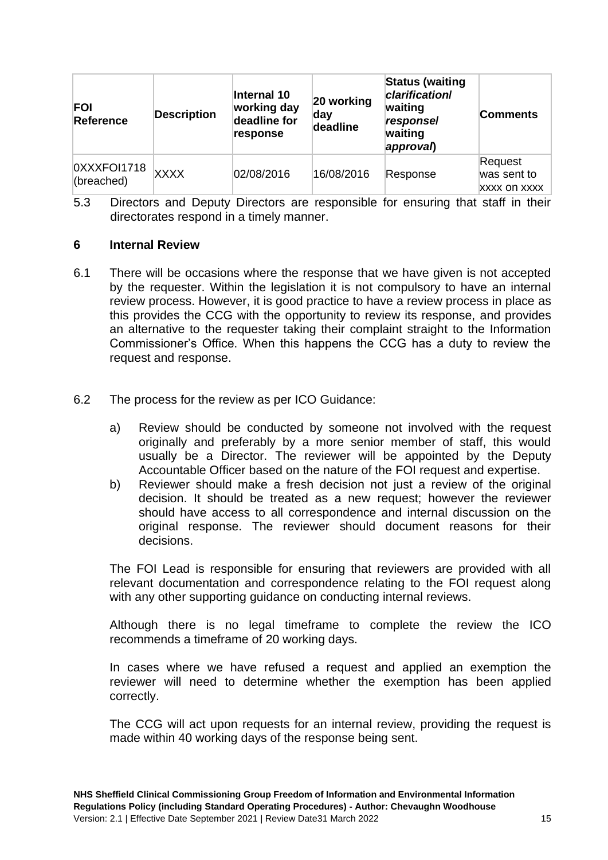| <b>FOI</b><br>Reference   | <b>Description</b> | Internal 10<br>working day<br>deadline for<br>response | 20 working<br>day<br>deadline | <b>Status (waiting</b><br><i><b>clarification/</b></i><br>waiting<br>responsel<br>waiting<br>approval) | <b>Comments</b>                               |
|---------------------------|--------------------|--------------------------------------------------------|-------------------------------|--------------------------------------------------------------------------------------------------------|-----------------------------------------------|
| 0XXXFOI1718<br>(breached) | <b>XXXX</b>        | 02/08/2016                                             | 16/08/2016                    | Response                                                                                               | Request<br>was sent to<br><b>XXXX ON XXXX</b> |

5.3 Directors and Deputy Directors are responsible for ensuring that staff in their directorates respond in a timely manner.

#### **6 Internal Review**

- 6.1 There will be occasions where the response that we have given is not accepted by the requester. Within the legislation it is not compulsory to have an internal review process. However, it is good practice to have a review process in place as this provides the CCG with the opportunity to review its response, and provides an alternative to the requester taking their complaint straight to the Information Commissioner's Office. When this happens the CCG has a duty to review the request and response.
- 6.2 The process for the review as per ICO Guidance:
	- a) Review should be conducted by someone not involved with the request originally and preferably by a more senior member of staff, this would usually be a Director. The reviewer will be appointed by the Deputy Accountable Officer based on the nature of the FOI request and expertise.
	- b) Reviewer should make a fresh decision not just a review of the original decision. It should be treated as a new request; however the reviewer should have access to all correspondence and internal discussion on the original response. The reviewer should document reasons for their decisions.

The FOI Lead is responsible for ensuring that reviewers are provided with all relevant documentation and correspondence relating to the FOI request along with any other supporting guidance on conducting internal reviews.

Although there is no legal timeframe to complete the review the ICO recommends a timeframe of 20 working days.

In cases where we have refused a request and applied an exemption the reviewer will need to determine whether the exemption has been applied correctly.

The CCG will act upon requests for an internal review, providing the request is made within 40 working days of the response being sent.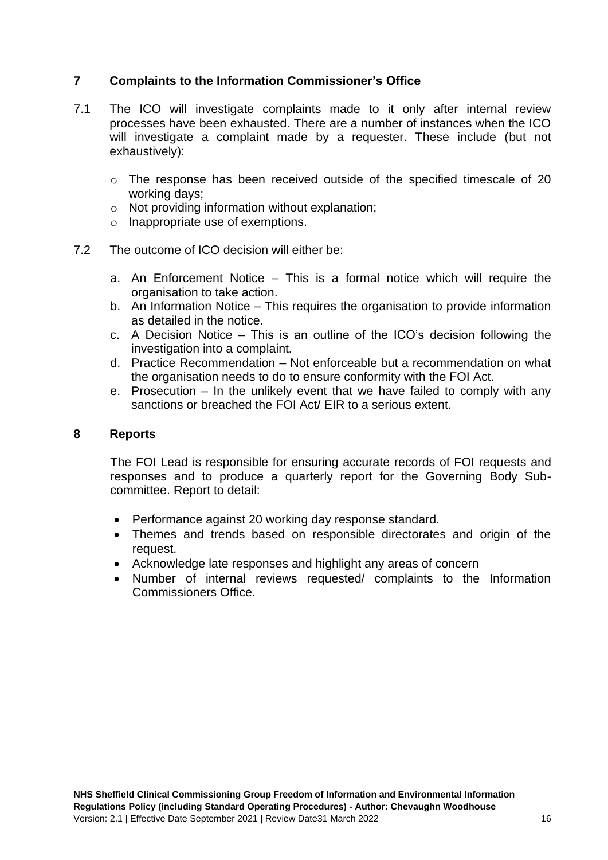## **7 Complaints to the Information Commissioner's Office**

- 7.1 The ICO will investigate complaints made to it only after internal review processes have been exhausted. There are a number of instances when the ICO will investigate a complaint made by a requester. These include (but not exhaustively):
	- o The response has been received outside of the specified timescale of 20 working days;
	- o Not providing information without explanation;
	- o Inappropriate use of exemptions.
- 7.2 The outcome of ICO decision will either be:
	- a. An Enforcement Notice This is a formal notice which will require the organisation to take action.
	- b. An Information Notice This requires the organisation to provide information as detailed in the notice.
	- c. A Decision Notice This is an outline of the ICO's decision following the investigation into a complaint.
	- d. Practice Recommendation Not enforceable but a recommendation on what the organisation needs to do to ensure conformity with the FOI Act.
	- e. Prosecution In the unlikely event that we have failed to comply with any sanctions or breached the FOI Act/ EIR to a serious extent.

#### **8 Reports**

The FOI Lead is responsible for ensuring accurate records of FOI requests and responses and to produce a quarterly report for the Governing Body Subcommittee. Report to detail:

- Performance against 20 working day response standard.
- Themes and trends based on responsible directorates and origin of the request.
- Acknowledge late responses and highlight any areas of concern
- Number of internal reviews requested/ complaints to the Information Commissioners Office.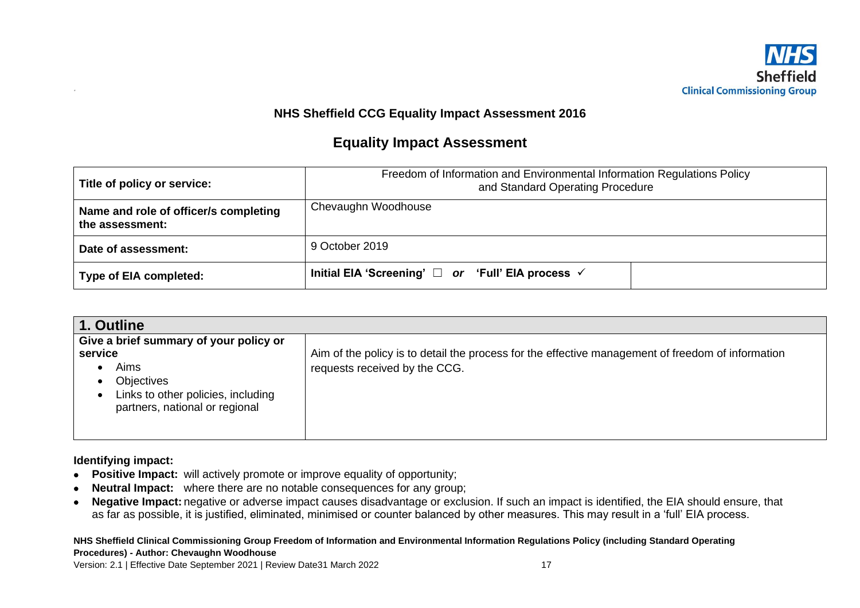

## **NHS Sheffield CCG Equality Impact Assessment 2016**

## **Equality Impact Assessment**

| Title of policy or service:                              | Freedom of Information and Environmental Information Regulations Policy<br>and Standard Operating Procedure |  |  |  |
|----------------------------------------------------------|-------------------------------------------------------------------------------------------------------------|--|--|--|
| Name and role of officer/s completing<br>the assessment: | Chevaughn Woodhouse                                                                                         |  |  |  |
| Date of assessment:                                      | 9 October 2019                                                                                              |  |  |  |
| <b>Type of EIA completed:</b>                            | Initial EIA 'Screening' $\Box$ or 'Full' EIA process $\checkmark$                                           |  |  |  |

| 1. Outline                                                                                                                                                                            |                                                                                                                                    |
|---------------------------------------------------------------------------------------------------------------------------------------------------------------------------------------|------------------------------------------------------------------------------------------------------------------------------------|
| Give a brief summary of your policy or<br>service<br>Aims<br>٠<br><b>Objectives</b><br>$\bullet$<br>Links to other policies, including<br>$\bullet$<br>partners, national or regional | Aim of the policy is to detail the process for the effective management of freedom of information<br>requests received by the CCG. |

**Identifying impact:**

*.*

- **Positive Impact:** will actively promote or improve equality of opportunity;
- **Neutral Impact:** where there are no notable consequences for any group;
- **Negative Impact:** negative or adverse impact causes disadvantage or exclusion. If such an impact is identified, the EIA should ensure, that as far as possible, it is justified, eliminated, minimised or counter balanced by other measures. This may result in a 'full' EIA process.

**NHS Sheffield Clinical Commissioning Group Freedom of Information and Environmental Information Regulations Policy (including Standard Operating Procedures) - Author: Chevaughn Woodhouse**

Version: 2.1 | Effective Date September 2021 | Review Date31 March 2022 17 17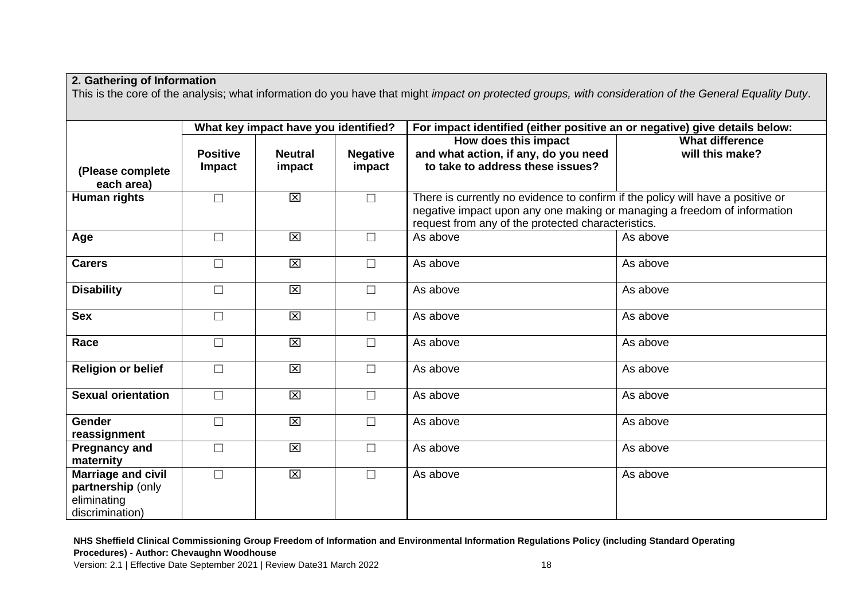| 2. Gathering of Information                                                      |                                      |                          |                           |                                                                                                                                                                                                                   |                                                                            |  |  |
|----------------------------------------------------------------------------------|--------------------------------------|--------------------------|---------------------------|-------------------------------------------------------------------------------------------------------------------------------------------------------------------------------------------------------------------|----------------------------------------------------------------------------|--|--|
|                                                                                  |                                      |                          |                           | This is the core of the analysis; what information do you have that might impact on protected groups, with consideration of the General Equality Duty.                                                            |                                                                            |  |  |
|                                                                                  |                                      |                          |                           |                                                                                                                                                                                                                   |                                                                            |  |  |
|                                                                                  | What key impact have you identified? |                          |                           |                                                                                                                                                                                                                   | For impact identified (either positive an or negative) give details below: |  |  |
| (Please complete<br>each area)                                                   | <b>Positive</b><br><b>Impact</b>     | <b>Neutral</b><br>impact | <b>Negative</b><br>impact | How does this impact<br>and what action, if any, do you need<br>to take to address these issues?                                                                                                                  | <b>What difference</b><br>will this make?                                  |  |  |
| Human rights                                                                     | $\Box$                               | $\boxtimes$              | $\Box$                    | There is currently no evidence to confirm if the policy will have a positive or<br>negative impact upon any one making or managing a freedom of information<br>request from any of the protected characteristics. |                                                                            |  |  |
| Age                                                                              | $\Box$                               | $\boxtimes$              | $\Box$                    | As above                                                                                                                                                                                                          | As above                                                                   |  |  |
| <b>Carers</b>                                                                    | $\Box$                               | $\mathbf{\overline{X}}$  | $\Box$                    | As above                                                                                                                                                                                                          | As above                                                                   |  |  |
| <b>Disability</b>                                                                | $\Box$                               | $\mathbf{\overline{X}}$  | $\Box$                    | As above                                                                                                                                                                                                          | As above                                                                   |  |  |
| <b>Sex</b>                                                                       | $\Box$                               | $\boxtimes$              | $\Box$                    | As above                                                                                                                                                                                                          | As above                                                                   |  |  |
| Race                                                                             | $\Box$                               | $\boxtimes$              | $\Box$                    | As above                                                                                                                                                                                                          | As above                                                                   |  |  |
| <b>Religion or belief</b>                                                        | $\Box$                               | $\boxtimes$              | $\Box$                    | As above                                                                                                                                                                                                          | As above                                                                   |  |  |
| <b>Sexual orientation</b>                                                        | $\Box$                               | $\overline{\mathsf{x}}$  | $\Box$                    | As above                                                                                                                                                                                                          | As above                                                                   |  |  |
| <b>Gender</b><br>reassignment                                                    | $\Box$                               | $\overline{\mathsf{x}}$  | $\Box$                    | As above                                                                                                                                                                                                          | As above                                                                   |  |  |
| <b>Pregnancy and</b><br>maternity                                                | $\Box$                               | $\overline{\mathbf{x}}$  | $\Box$                    | As above                                                                                                                                                                                                          | As above                                                                   |  |  |
| <b>Marriage and civil</b><br>partnership (only<br>eliminating<br>discrimination) | $\Box$                               | $\boxtimes$              | $\Box$                    | As above                                                                                                                                                                                                          | As above                                                                   |  |  |

**NHS Sheffield Clinical Commissioning Group Freedom of Information and Environmental Information Regulations Policy (including Standard Operating Procedures) - Author: Chevaughn Woodhouse**

Version: 2.1 | Effective Date September 2021 | Review Date31 March 2022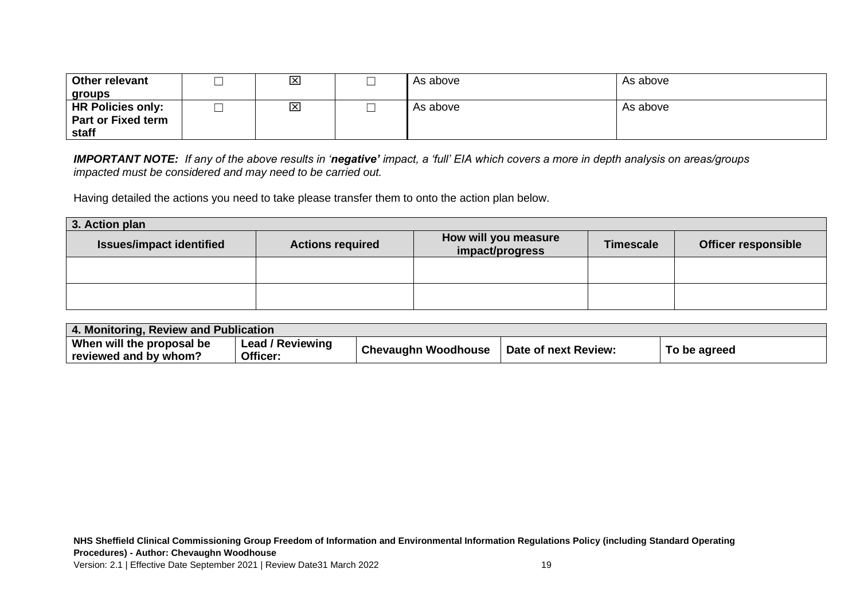| Other relevant                     |   | $\overline{\mathsf{x}}$ | As above | As above |
|------------------------------------|---|-------------------------|----------|----------|
| groups                             |   |                         |          |          |
| <b>HR Policies only:</b>           | ─ | $\mathbf{\overline{X}}$ | As above | As above |
| <b>Part or Fixed term</b><br>staff |   |                         |          |          |

*IMPORTANT NOTE: If any of the above results in 'negative' impact, a 'full' EIA which covers a more in depth analysis on areas/groups impacted must be considered and may need to be carried out.* 

Having detailed the actions you need to take please transfer them to onto the action plan below.

| 3. Action plan                  |                         |                                         |                  |                            |  |  |
|---------------------------------|-------------------------|-----------------------------------------|------------------|----------------------------|--|--|
| <b>Issues/impact identified</b> | <b>Actions required</b> | How will you measure<br>impact/progress | <b>Timescale</b> | <b>Officer responsible</b> |  |  |
|                                 |                         |                                         |                  |                            |  |  |
|                                 |                         |                                         |                  |                            |  |  |

| 4. Monitoring, Review and Publication |                         |                            |                      |              |
|---------------------------------------|-------------------------|----------------------------|----------------------|--------------|
| When will the proposal be             | <b>Lead / Reviewing</b> | <b>Chevaughn Woodhouse</b> | Date of next Review: | To be agreed |
| reviewed and by whom?                 | Officer:                |                            |                      |              |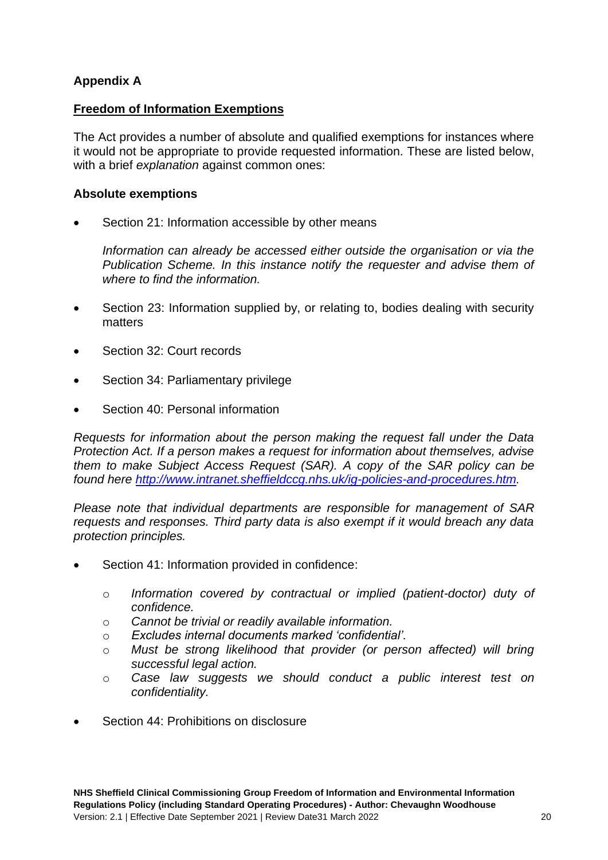## **Appendix A**

## **Freedom of Information Exemptions**

The Act provides a number of absolute and qualified exemptions for instances where it would not be appropriate to provide requested information. These are listed below, with a brief *explanation* against common ones:

## **Absolute exemptions**

Section 21: Information accessible by other means

*Information can already be accessed either outside the organisation or via the Publication Scheme. In this instance notify the requester and advise them of where to find the information.*

- Section 23: Information supplied by, or relating to, bodies dealing with security matters
- Section 32: Court records
- Section 34: Parliamentary privilege
- Section 40: Personal information

*Requests for information about the person making the request fall under the Data Protection Act. If a person makes a request for information about themselves, advise them to make Subject Access Request (SAR). A copy of the SAR policy can be found here [http://www.intranet.sheffieldccg.nhs.uk/ig-policies-and-procedures.htm.](http://www.intranet.sheffieldccg.nhs.uk/ig-policies-and-procedures.htm)* 

*Please note that individual departments are responsible for management of SAR requests and responses. Third party data is also exempt if it would breach any data protection principles.*

- Section 41: Information provided in confidence:
	- o *Information covered by contractual or implied (patient-doctor) duty of confidence.*
	- o *Cannot be trivial or readily available information.*
	- o *Excludes internal documents marked 'confidential'.*
	- o *Must be strong likelihood that provider (or person affected) will bring successful legal action.*
	- o *Case law suggests we should conduct a public interest test on confidentiality.*
- Section 44: Prohibitions on disclosure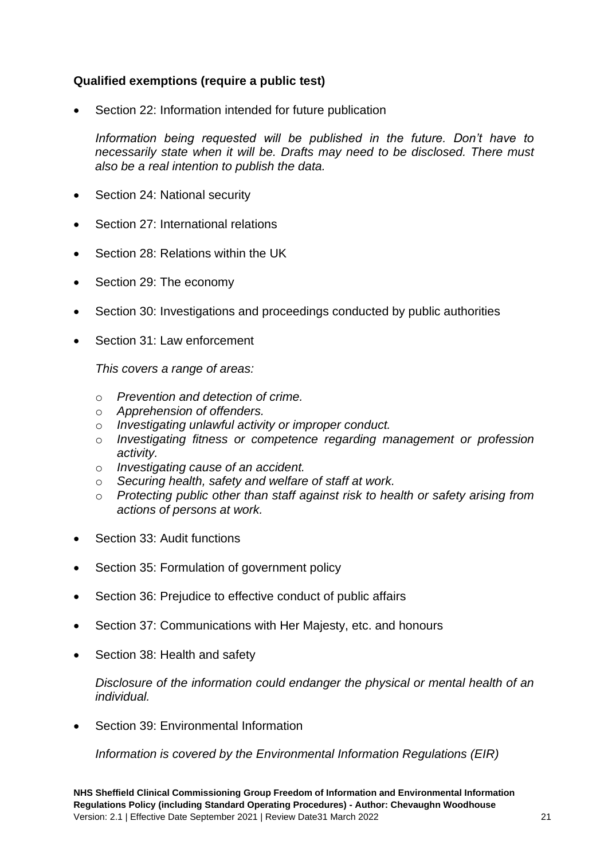## **Qualified exemptions (require a public test)**

Section 22: Information intended for future publication

Information being requested will be published in the future. Don't have to *necessarily state when it will be. Drafts may need to be disclosed. There must also be a real intention to publish the data.*

- Section 24: National security
- Section 27: International relations
- Section 28: Relations within the UK
- Section 29: The economy
- Section 30: Investigations and proceedings conducted by public authorities
- Section 31: Law enforcement

*This covers a range of areas:*

- o *Prevention and detection of crime.*
- o *Apprehension of offenders.*
- o *Investigating unlawful activity or improper conduct.*
- o *Investigating fitness or competence regarding management or profession activity.*
- o *Investigating cause of an accident.*
- o *Securing health, safety and welfare of staff at work.*
- o *Protecting public other than staff against risk to health or safety arising from actions of persons at work.*
- Section 33: Audit functions
- Section 35: Formulation of government policy
- Section 36: Prejudice to effective conduct of public affairs
- Section 37: Communications with Her Majesty, etc. and honours
- Section 38: Health and safety

*Disclosure of the information could endanger the physical or mental health of an individual.*

• Section 39: Environmental Information

*Information is covered by the Environmental Information Regulations (EIR)*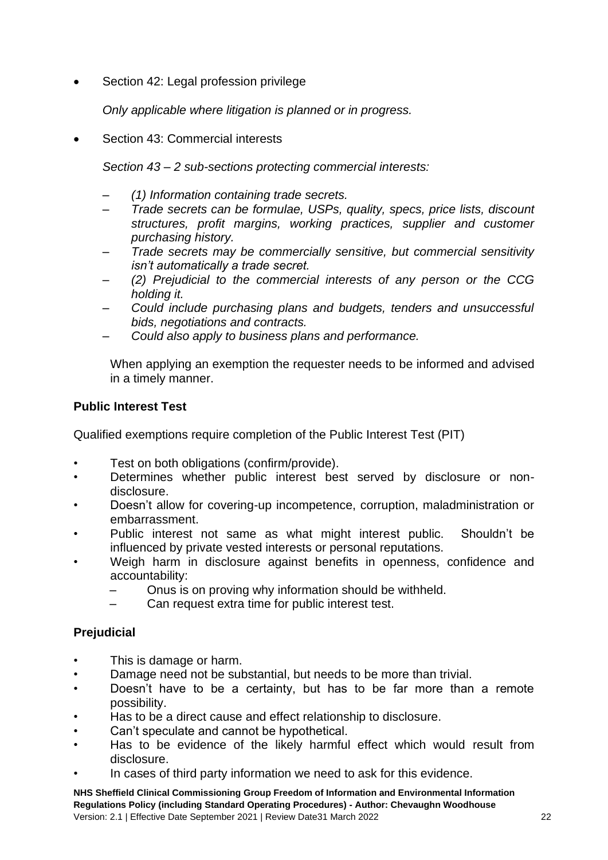Section 42: Legal profession privilege

*Only applicable where litigation is planned or in progress.*

• Section 43: Commercial interests

*Section 43 – 2 sub-sections protecting commercial interests:*

- *(1) Information containing trade secrets.*
- *Trade secrets can be formulae, USPs, quality, specs, price lists, discount structures, profit margins, working practices, supplier and customer purchasing history.*
- *Trade secrets may be commercially sensitive, but commercial sensitivity isn't automatically a trade secret.*
- *(2) Prejudicial to the commercial interests of any person or the CCG holding it.*
- *Could include purchasing plans and budgets, tenders and unsuccessful bids, negotiations and contracts.*
- *Could also apply to business plans and performance.*

When applying an exemption the requester needs to be informed and advised in a timely manner.

## **Public Interest Test**

Qualified exemptions require completion of the Public Interest Test (PIT)

- Test on both obligations (confirm/provide).
- Determines whether public interest best served by disclosure or nondisclosure.
- Doesn't allow for covering-up incompetence, corruption, maladministration or embarrassment.
- Public interest not same as what might interest public. Shouldn't be influenced by private vested interests or personal reputations.
- Weigh harm in disclosure against benefits in openness, confidence and accountability:
	- Onus is on proving why information should be withheld.
	- Can request extra time for public interest test.

## **Prejudicial**

- This is damage or harm.
- Damage need not be substantial, but needs to be more than trivial.
- Doesn't have to be a certainty, but has to be far more than a remote possibility.
- Has to be a direct cause and effect relationship to disclosure.
- Can't speculate and cannot be hypothetical.
- Has to be evidence of the likely harmful effect which would result from disclosure.
- In cases of third party information we need to ask for this evidence.

**NHS Sheffield Clinical Commissioning Group Freedom of Information and Environmental Information Regulations Policy (including Standard Operating Procedures) - Author: Chevaughn Woodhouse** Version: 2.1 | Effective Date September 2021 | Review Date31 March 2022 22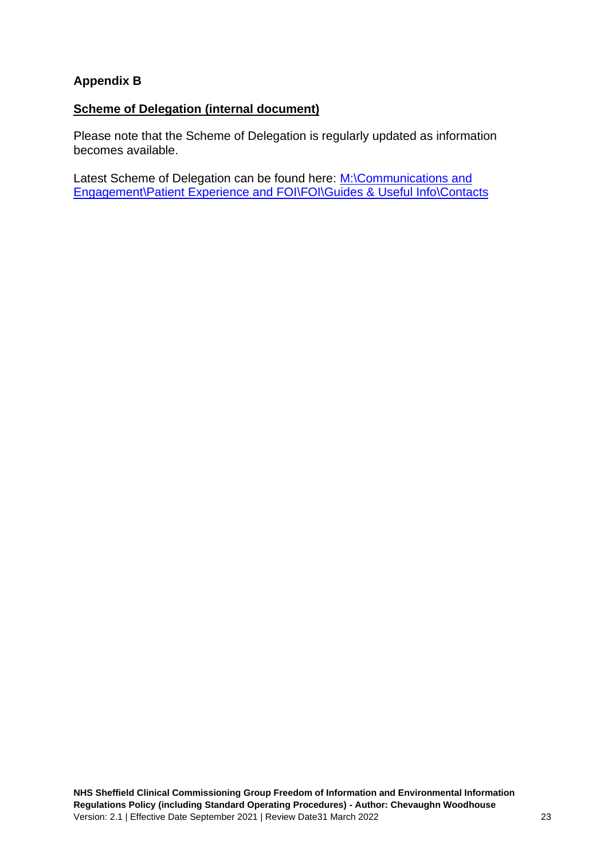## **Appendix B**

## **Scheme of Delegation (internal document)**

Please note that the Scheme of Delegation is regularly updated as information becomes available.

Latest Scheme of Delegation can be found here: M:\Communications and [Engagement\Patient Experience and FOI\FOI\Guides & Useful Info\Contacts](../FOI/Guides%20&%20Useful%20Info/Contacts)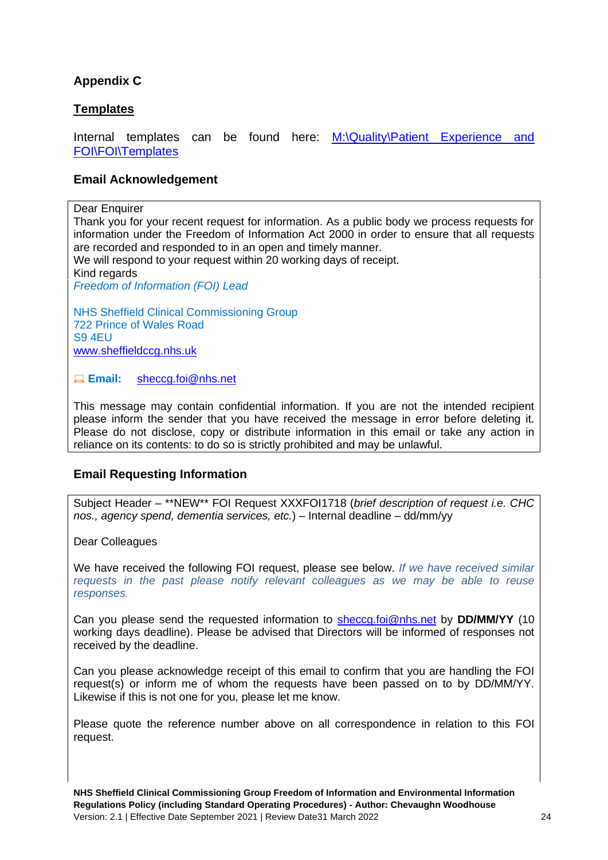## **Appendix C**

## **Templates**

Internal templates can be found here: M:\Quality\Patient Experience and **[FOI\FOI\Templates](file:///C:/Users/alun.windle/AppData/Local/Microsoft/Windows/INetCache/Content.Outlook/Templates)** 

#### **Email Acknowledgement**

Dear Enquirer

Thank you for your recent request for information. As a public body we process requests for information under the Freedom of Information Act 2000 in order to ensure that all requests are recorded and responded to in an open and timely manner.

We will respond to your request within 20 working days of receipt.

Kind regards

*Freedom of Information (FOI) Lead*

NHS Sheffield Clinical Commissioning Group 722 Prince of Wales Road S9 4EU [www.sheffieldccg.nhs.uk](https://web.nhs.net/owa/SHECCG.FOI@nhs.net/redir.aspx?SURL=eniY647Hhz8_CrH5IlpH63PhHTjwgXeC6zrA7nFxgMingnJRb3nTCGgAdAB0AHAAOgAvAC8AdwB3AHcALgBzAGgAZQBmAGYAaQBlAGwAZABjAGMAZwAuAG4AaABzAC4AdQBrAC8A&URL=http%3a%2f%2fwww.sheffieldccg.nhs.uk%2f)

**Email:** [sheccg.foi@nhs.net](https://web.nhs.net/owa/SHECCG.FOI@nhs.net/redir.aspx?SURL=5rd_-f-Xs99BLpKsurcMCRGteJ9ETYF2WZ3O0zVvd-KngnJRb3nTCG0AYQBpAGwAdABvADoAcwBoAGUAYwBjAGcALgBmAG8AaQBAAG4AaABzAC4AbgBlAHQA&URL=mailto%3asheccg.foi%40nhs.net)

This message may contain confidential information. If you are not the intended recipient please inform the sender that you have received the message in error before deleting it. Please do not disclose, copy or distribute information in this email or take any action in reliance on its contents: to do so is strictly prohibited and may be unlawful.

## **Email Requesting Information**

Subject Header – \*\*NEW\*\* FOI Request XXXFOI1718 (*brief description of request i.e. CHC nos., agency spend, dementia services, etc.*) – Internal deadline – dd/mm/yy

Dear Colleagues

We have received the following FOI request, please see below. *If we have received similar requests in the past please notify relevant colleagues as we may be able to reuse responses.*

Can you please send the requested information to [sheccg.foi@nhs.net](mailto:sheccg.foi@nhs.net) by **DD/MM/YY** (10 working days deadline). Please be advised that Directors will be informed of responses not received by the deadline.

Can you please acknowledge receipt of this email to confirm that you are handling the FOI request(s) or inform me of whom the requests have been passed on to by DD/MM/YY. Likewise if this is not one for you, please let me know.

Please quote the reference number above on all correspondence in relation to this FOI request.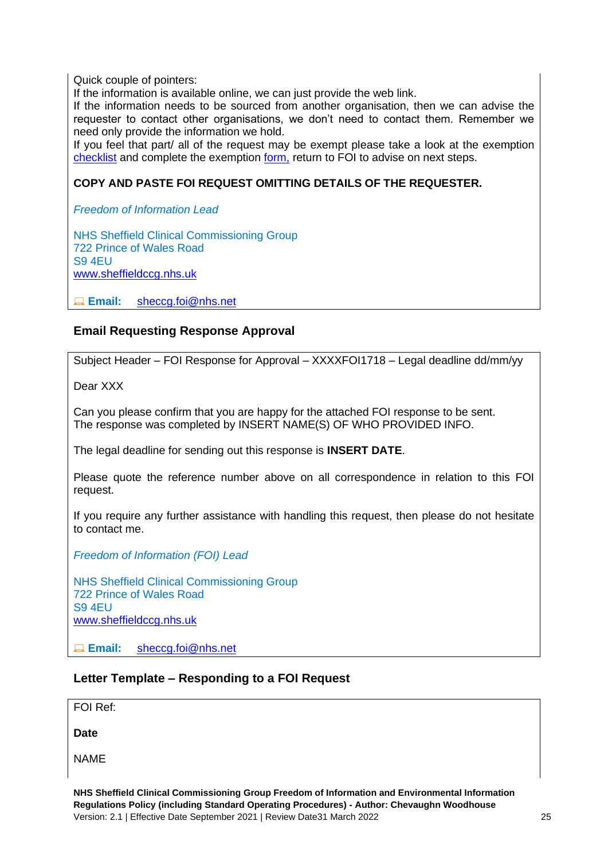Quick couple of pointers:

If the information is available online, we can just provide the web link.

If the information needs to be sourced from another organisation, then we can advise the requester to contact other organisations, we don't need to contact them. Remember we need only provide the information we hold.

If you feel that part/ all of the request may be exempt please take a look at the exemption [checklist](https://www.intranet.sheffieldccg.nhs.uk/Downloads/Comms%20docs/FOI/Exemptions%20Checklist.pdf) and complete the exemption [form,](file:///C:/Users/chevaughnwoodhouse/AppData/Local/Microsoft/Windows/INetCache/Content.Outlook/Guides%20&%20Useful%20Info/CCG%20FOI/Exemptions%20(public%20folder)/Exemption%20Form.doc) return to FOI to advise on next steps.

#### **COPY AND PASTE FOI REQUEST OMITTING DETAILS OF THE REQUESTER.**

*Freedom of Information Lead*

NHS Sheffield Clinical Commissioning Group 722 Prince of Wales Road S9 4EU [www.sheffieldccg.nhs.uk](https://web.nhs.net/owa/SHECCG.FOI@nhs.net/redir.aspx?SURL=eniY647Hhz8_CrH5IlpH63PhHTjwgXeC6zrA7nFxgMingnJRb3nTCGgAdAB0AHAAOgAvAC8AdwB3AHcALgBzAGgAZQBmAGYAaQBlAGwAZABjAGMAZwAuAG4AaABzAC4AdQBrAC8A&URL=http%3a%2f%2fwww.sheffieldccg.nhs.uk%2f)

**Email:** [sheccg.foi@nhs.net](https://web.nhs.net/owa/SHECCG.FOI@nhs.net/redir.aspx?SURL=5rd_-f-Xs99BLpKsurcMCRGteJ9ETYF2WZ3O0zVvd-KngnJRb3nTCG0AYQBpAGwAdABvADoAcwBoAGUAYwBjAGcALgBmAG8AaQBAAG4AaABzAC4AbgBlAHQA&URL=mailto%3asheccg.foi%40nhs.net)

#### **Email Requesting Response Approval**

Subject Header – FOI Response for Approval – XXXXFOI1718 – Legal deadline dd/mm/yy

Dear XXX

Can you please confirm that you are happy for the attached FOI response to be sent. The response was completed by INSERT NAME(S) OF WHO PROVIDED INFO.

The legal deadline for sending out this response is **INSERT DATE**.

Please quote the reference number above on all correspondence in relation to this FOI request.

If you require any further assistance with handling this request, then please do not hesitate to contact me.

*Freedom of Information (FOI) Lead*

NHS Sheffield Clinical Commissioning Group 722 Prince of Wales Road S9 4EU [www.sheffieldccg.nhs.uk](https://web.nhs.net/owa/SHECCG.FOI@nhs.net/redir.aspx?SURL=eniY647Hhz8_CrH5IlpH63PhHTjwgXeC6zrA7nFxgMingnJRb3nTCGgAdAB0AHAAOgAvAC8AdwB3AHcALgBzAGgAZQBmAGYAaQBlAGwAZABjAGMAZwAuAG4AaABzAC4AdQBrAC8A&URL=http%3a%2f%2fwww.sheffieldccg.nhs.uk%2f)

**Email:** [sheccg.foi@nhs.net](https://web.nhs.net/owa/SHECCG.FOI@nhs.net/redir.aspx?SURL=5rd_-f-Xs99BLpKsurcMCRGteJ9ETYF2WZ3O0zVvd-KngnJRb3nTCG0AYQBpAGwAdABvADoAcwBoAGUAYwBjAGcALgBmAG8AaQBAAG4AaABzAC4AbgBlAHQA&URL=mailto%3asheccg.foi%40nhs.net)

#### **Letter Template – Responding to a FOI Request**

FOI Ref:

**Date**

NAME

**NHS Sheffield Clinical Commissioning Group Freedom of Information and Environmental Information Regulations Policy (including Standard Operating Procedures) - Author: Chevaughn Woodhouse** Version: 2.1 | Effective Date September 2021 | Review Date31 March 2022 25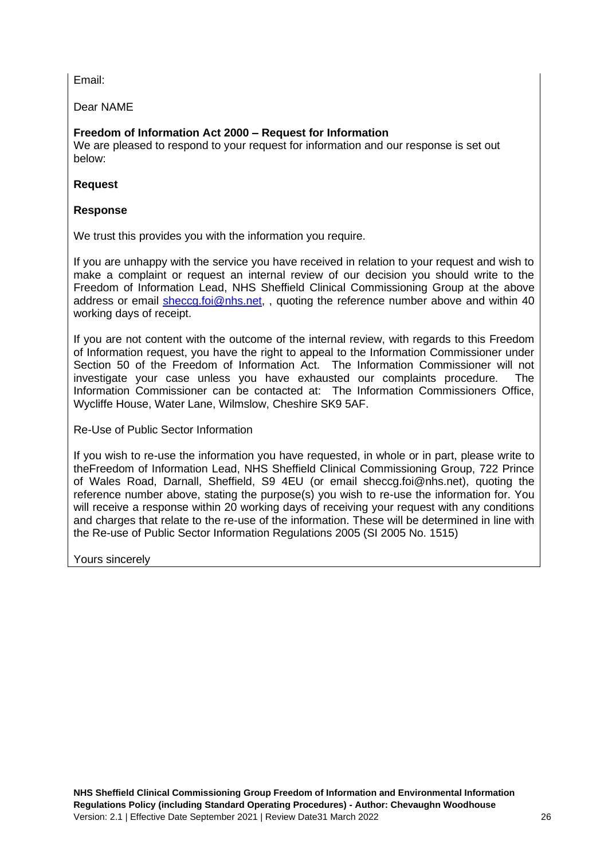Email:

Dear NAME

## **Freedom of Information Act 2000 – Request for Information**

We are pleased to respond to your request for information and our response is set out below:

#### **Request**

#### **Response**

We trust this provides you with the information you require.

If you are unhappy with the service you have received in relation to your request and wish to make a complaint or request an internal review of our decision you should write to the Freedom of Information Lead, NHS Sheffield Clinical Commissioning Group at the above address or email [sheccg.foi@nhs.net,](mailto:sheccg.foi@nhs.net), quoting the reference number above and within 40 working days of receipt.

If you are not content with the outcome of the internal review, with regards to this Freedom of Information request, you have the right to appeal to the Information Commissioner under Section 50 of the Freedom of Information Act. The Information Commissioner will not investigate your case unless you have exhausted our complaints procedure. The Information Commissioner can be contacted at: The Information Commissioners Office, Wycliffe House, Water Lane, Wilmslow, Cheshire SK9 5AF.

Re-Use of Public Sector Information

If you wish to re-use the information you have requested, in whole or in part, please write to theFreedom of Information Lead, NHS Sheffield Clinical Commissioning Group, 722 Prince of Wales Road, Darnall, Sheffield, S9 4EU (or email sheccg.foi@nhs.net), quoting the reference number above, stating the purpose(s) you wish to re-use the information for. You will receive a response within 20 working days of receiving your request with any conditions and charges that relate to the re-use of the information. These will be determined in line with the Re-use of Public Sector Information Regulations 2005 (SI 2005 No. 1515)

Yours sincerely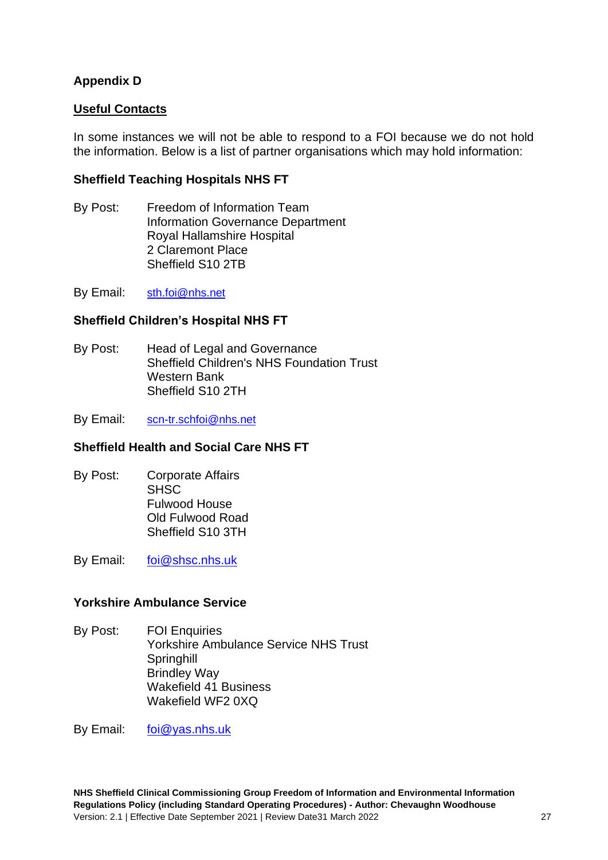## **Appendix D**

## **Useful Contacts**

In some instances we will not be able to respond to a FOI because we do not hold the information. Below is a list of partner organisations which may hold information:

## **Sheffield Teaching Hospitals NHS FT**

By Post: Freedom of Information Team Information Governance Department Royal Hallamshire Hospital 2 Claremont Place Sheffield S10 2TB

By Email: [sth.foi@nhs.net](mailto:sth.foi@nhs.net)

## **Sheffield Children's Hospital NHS FT**

By Post: Head of Legal and Governance Sheffield Children's NHS Foundation Trust Western Bank Sheffield S10 2TH

By Email: [scn-tr.schfoi@nhs.net](mailto:scn-tr.schfoi@nhs.net)

#### **Sheffield Health and Social Care NHS FT**

By Post: Corporate Affairs SHS<sub>C</sub> Fulwood House Old Fulwood Road Sheffield S10 3TH

By Email: [foi@shsc.nhs.uk](mailto:foi@shsc.nhs.uk)

#### **Yorkshire Ambulance Service**

By Post: FOI Enquiries Yorkshire Ambulance Service NHS Trust **Springhill** Brindley Way Wakefield 41 Business Wakefield WF2 0XQ

By Email: [foi@yas.nhs.uk](mailto:foi@yas.nhs.uk)